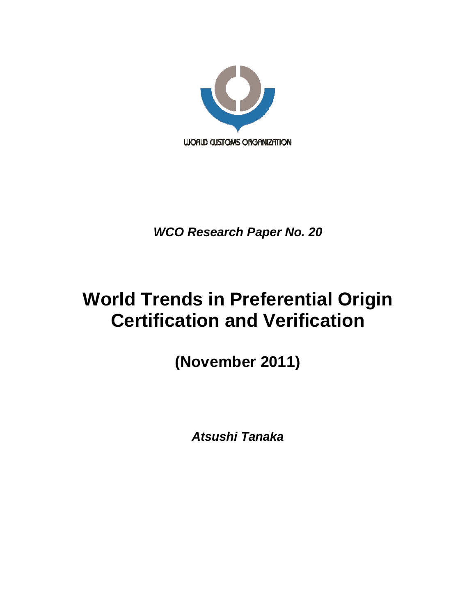

*WCO Research Paper No. 20*

# **World Trends in Preferential Origin Certification and Verification**

**(November 2011)**

*Atsushi Tanaka*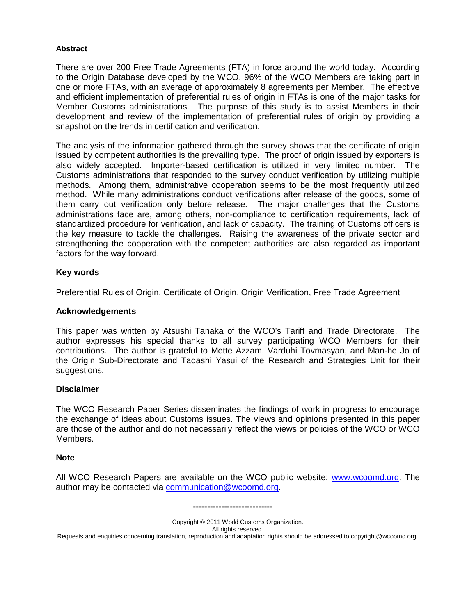#### **Abstract**

There are over 200 Free Trade Agreements (FTA) in force around the world today. According to the Origin Database developed by the WCO, 96% of the WCO Members are taking part in one or more FTAs, with an average of approximately 8 agreements per Member. The effective and efficient implementation of preferential rules of origin in FTAs is one of the major tasks for Member Customs administrations. The purpose of this study is to assist Members in their development and review of the implementation of preferential rules of origin by providing a snapshot on the trends in certification and verification.

The analysis of the information gathered through the survey shows that the certificate of origin issued by competent authorities is the prevailing type. The proof of origin issued by exporters is also widely accepted. Importer-based certification is utilized in very limited number. The Customs administrations that responded to the survey conduct verification by utilizing multiple methods. Among them, administrative cooperation seems to be the most frequently utilized method. While many administrations conduct verifications after release of the goods, some of them carry out verification only before release. The major challenges that the Customs administrations face are, among others, non-compliance to certification requirements, lack of standardized procedure for verification, and lack of capacity. The training of Customs officers is the key measure to tackle the challenges. Raising the awareness of the private sector and strengthening the cooperation with the competent authorities are also regarded as important factors for the way forward.

#### **Key words**

Preferential Rules of Origin, Certificate of Origin, Origin Verification, Free Trade Agreement

#### **Acknowledgements**

This paper was written by Atsushi Tanaka of the WCO's Tariff and Trade Directorate. The author expresses his special thanks to all survey participating WCO Members for their contributions. The author is grateful to Mette Azzam, Varduhi Tovmasyan, and Man-he Jo of the Origin Sub-Directorate and Tadashi Yasui of the Research and Strategies Unit for their suggestions.

#### **Disclaimer**

The WCO Research Paper Series disseminates the findings of work in progress to encourage the exchange of ideas about Customs issues. The views and opinions presented in this paper are those of the author and do not necessarily reflect the views or policies of the WCO or WCO Members.

#### **Note**

All WCO Research Papers are available on the WCO public website: www.wcoomd.org. The author may be contacted via communication@wcoomd.org.

----------------------------

Copyright © 2011 World Customs Organization. All rights reserved. Requests and enquiries concerning translation, reproduction and adaptation rights should be addressed to copyright@wcoomd.org.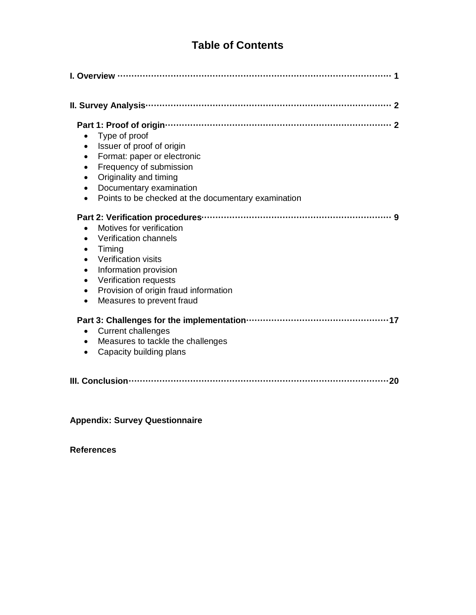# **Table of Contents**

| Type of proof<br>$\bullet$<br>Issuer of proof of origin<br>$\bullet$<br>Format: paper or electronic<br>$\bullet$<br>Frequency of submission<br>$\bullet$<br>Originality and timing<br>$\bullet$<br>Documentary examination<br>$\bullet$<br>Points to be checked at the documentary examination                     |  |  |
|--------------------------------------------------------------------------------------------------------------------------------------------------------------------------------------------------------------------------------------------------------------------------------------------------------------------|--|--|
| Motives for verification<br>$\bullet$<br>Verification channels<br>$\bullet$<br>Timing<br>$\bullet$<br>Verification visits<br>$\bullet$<br>Information provision<br>$\bullet$<br>Verification requests<br>$\bullet$<br>Provision of origin fraud information<br>$\bullet$<br>Measures to prevent fraud<br>$\bullet$ |  |  |
| <b>Current challenges</b><br>$\bullet$<br>Measures to tackle the challenges<br>$\bullet$<br>Capacity building plans<br>$\bullet$                                                                                                                                                                                   |  |  |
| 20                                                                                                                                                                                                                                                                                                                 |  |  |

**Appendix: Survey Questionnaire**

# **References**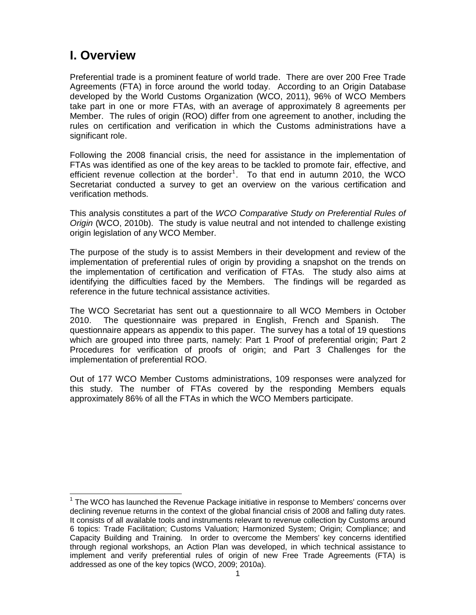# **I. Overview**

Preferential trade is a prominent feature of world trade. There are over 200 Free Trade Agreements (FTA) in force around the world today. According to an Origin Database developed by the World Customs Organization (WCO, 2011), 96% of WCO Members take part in one or more FTAs, with an average of approximately 8 agreements per Member. The rules of origin (ROO) differ from one agreement to another, including the rules on certification and verification in which the Customs administrations have a significant role.

Following the 2008 financial crisis, the need for assistance in the implementation of FTAs was identified as one of the key areas to be tackled to promote fair, effective, and efficient revenue collection at the border<sup>1</sup>. To that end in autumn 2010, the WCO Secretariat conducted a survey to get an overview on the various certification and verification methods.

This analysis constitutes a part of the *WCO Comparative Study on Preferential Rules of Origin* (WCO, 2010b). The study is value neutral and not intended to challenge existing origin legislation of any WCO Member.

The purpose of the study is to assist Members in their development and review of the implementation of preferential rules of origin by providing a snapshot on the trends on the implementation of certification and verification of FTAs. The study also aims at identifying the difficulties faced by the Members. The findings will be regarded as reference in the future technical assistance activities.

The WCO Secretariat has sent out a questionnaire to all WCO Members in October 2010. The questionnaire was prepared in English, French and Spanish. The questionnaire appears as appendix to this paper. The survey has a total of 19 questions which are grouped into three parts, namely: Part 1 Proof of preferential origin; Part 2 Procedures for verification of proofs of origin; and Part 3 Challenges for the implementation of preferential ROO.

Out of 177 WCO Member Customs administrations, 109 responses were analyzed for this study. The number of FTAs covered by the responding Members equals approximately 86% of all the FTAs in which the WCO Members participate.

 1 The WCO has launched the Revenue Package initiative in response to Members' concerns over declining revenue returns in the context of the global financial crisis of 2008 and falling duty rates. It consists of all available tools and instruments relevant to revenue collection by Customs around 6 topics: Trade Facilitation; Customs Valuation; Harmonized System; Origin; Compliance; and Capacity Building and Training. In order to overcome the Members' key concerns identified through regional workshops, an Action Plan was developed, in which technical assistance to implement and verify preferential rules of origin of new Free Trade Agreements (FTA) is addressed as one of the key topics (WCO, 2009; 2010a).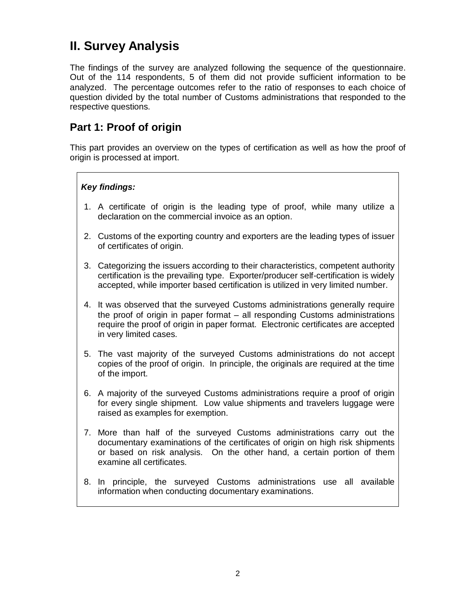# **II. Survey Analysis**

The findings of the survey are analyzed following the sequence of the questionnaire. Out of the 114 respondents, 5 of them did not provide sufficient information to be analyzed. The percentage outcomes refer to the ratio of responses to each choice of question divided by the total number of Customs administrations that responded to the respective questions.

# **Part 1: Proof of origin**

This part provides an overview on the types of certification as well as how the proof of origin is processed at import.

## *Key findings:*

- 1. A certificate of origin is the leading type of proof, while many utilize a declaration on the commercial invoice as an option.
- 2. Customs of the exporting country and exporters are the leading types of issuer of certificates of origin.
- 3. Categorizing the issuers according to their characteristics, competent authority certification is the prevailing type. Exporter/producer self-certification is widely accepted, while importer based certification is utilized in very limited number.
- 4. It was observed that the surveyed Customs administrations generally require the proof of origin in paper format – all responding Customs administrations require the proof of origin in paper format. Electronic certificates are accepted in very limited cases.
- 5. The vast majority of the surveyed Customs administrations do not accept copies of the proof of origin. In principle, the originals are required at the time of the import.
- 6. A majority of the surveyed Customs administrations require a proof of origin for every single shipment. Low value shipments and travelers luggage were raised as examples for exemption.
- 7. More than half of the surveyed Customs administrations carry out the documentary examinations of the certificates of origin on high risk shipments or based on risk analysis. On the other hand, a certain portion of them examine all certificates.
- 8. In principle, the surveyed Customs administrations use all available information when conducting documentary examinations.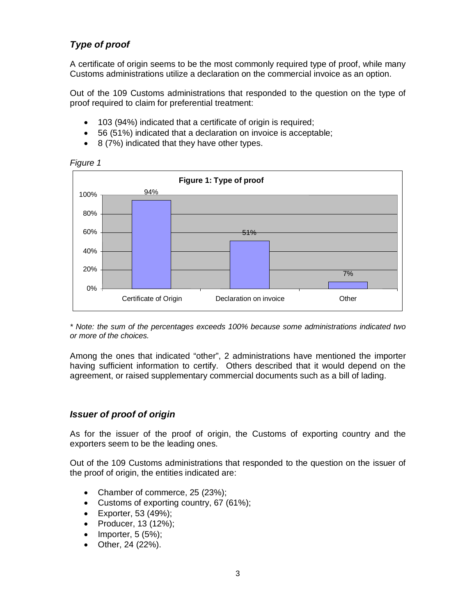# *Type of proof*

A certificate of origin seems to be the most commonly required type of proof, while many Customs administrations utilize a declaration on the commercial invoice as an option.

Out of the 109 Customs administrations that responded to the question on the type of proof required to claim for preferential treatment:

- 103 (94%) indicated that a certificate of origin is required;
- 56 (51%) indicated that a declaration on invoice is acceptable;
- $\bullet$  8 (7%) indicated that they have other types.



*Figure 1*

*\* Note: the sum of the percentages exceeds 100% because some administrations indicated two or more of the choices.*

Among the ones that indicated "other", 2 administrations have mentioned the importer having sufficient information to certify. Others described that it would depend on the agreement, or raised supplementary commercial documents such as a bill of lading.

## *Issuer of proof of origin*

As for the issuer of the proof of origin, the Customs of exporting country and the exporters seem to be the leading ones.

Out of the 109 Customs administrations that responded to the question on the issuer of the proof of origin, the entities indicated are:

- Chamber of commerce, 25 (23%);
- Customs of exporting country, 67 (61%);
- Exporter, 53 (49%);
- Producer, 13 (12%);
- $\bullet$  Importer, 5 (5%);
- Other, 24 (22%).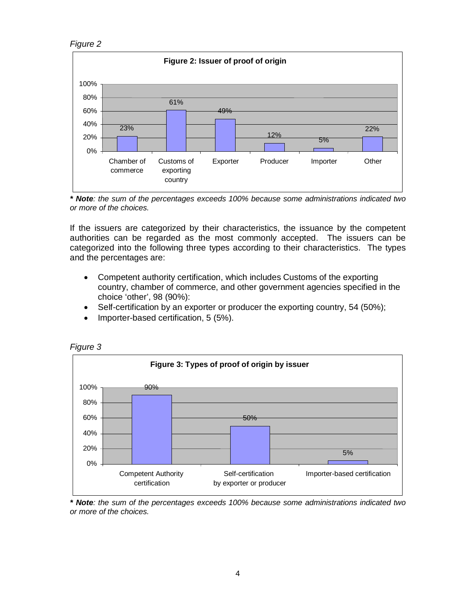



*\* Note: the sum of the percentages exceeds 100% because some administrations indicated two or more of the choices.*

If the issuers are categorized by their characteristics, the issuance by the competent authorities can be regarded as the most commonly accepted. The issuers can be categorized into the following three types according to their characteristics. The types and the percentages are:

- Competent authority certification, which includes Customs of the exporting country, chamber of commerce, and other government agencies specified in the choice 'other', 98 (90%):
- Self-certification by an exporter or producer the exporting country, 54 (50%);
- Importer-based certification, 5 (5%).



*Figure 3*

*\* Note: the sum of the percentages exceeds 100% because some administrations indicated two or more of the choices.*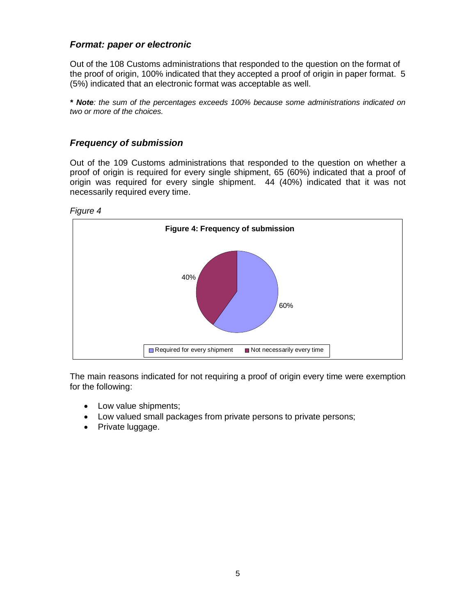## *Format: paper or electronic*

Out of the 108 Customs administrations that responded to the question on the format of the proof of origin, 100% indicated that they accepted a proof of origin in paper format. 5 (5%) indicated that an electronic format was acceptable as well.

*\* Note: the sum of the percentages exceeds 100% because some administrations indicated on two or more of the choices.*

## *Frequency of submission*

Out of the 109 Customs administrations that responded to the question on whether a proof of origin is required for every single shipment, 65 (60%) indicated that a proof of origin was required for every single shipment. 44 (40%) indicated that it was not necessarily required every time.





The main reasons indicated for not requiring a proof of origin every time were exemption for the following:

- Low value shipments;
- Low valued small packages from private persons to private persons;
- Private luggage.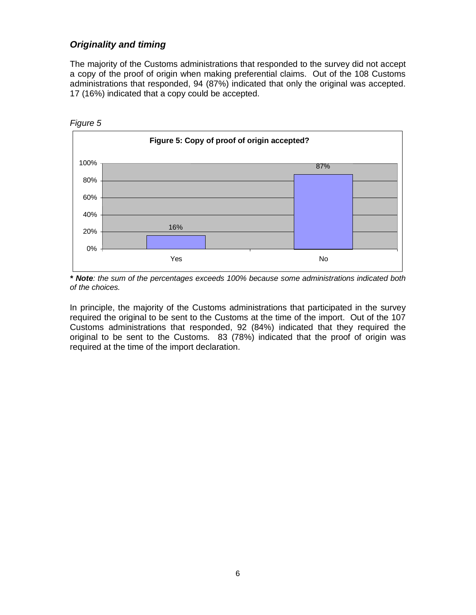## *Originality and timing*

The majority of the Customs administrations that responded to the survey did not accept a copy of the proof of origin when making preferential claims. Out of the 108 Customs administrations that responded, 94 (87%) indicated that only the original was accepted. 17 (16%) indicated that a copy could be accepted.



*\* Note: the sum of the percentages exceeds 100% because some administrations indicated both of the choices.*

In principle, the majority of the Customs administrations that participated in the survey required the original to be sent to the Customs at the time of the import. Out of the 107 Customs administrations that responded, 92 (84%) indicated that they required the original to be sent to the Customs. 83 (78%) indicated that the proof of origin was required at the time of the import declaration.

6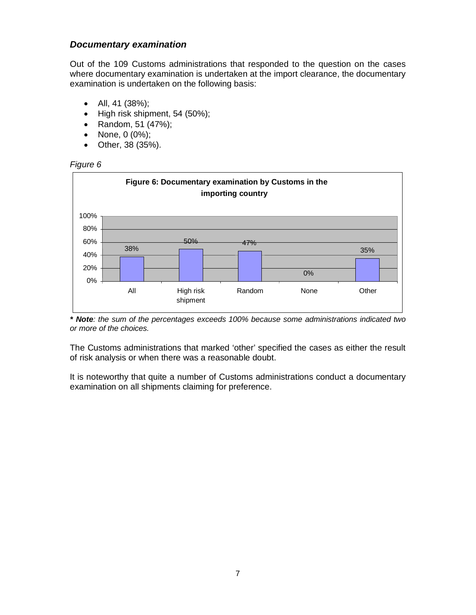## *Documentary examination*

Out of the 109 Customs administrations that responded to the question on the cases where documentary examination is undertaken at the import clearance, the documentary examination is undertaken on the following basis:

- All, 41 (38%);
- $\bullet$  High risk shipment, 54 (50%);
- Random, 51 (47%);
- None, 0 (0%);
- Other, 38 (35%).





*\* Note: the sum of the percentages exceeds 100% because some administrations indicated two or more of the choices.*

The Customs administrations that marked 'other' specified the cases as either the result of risk analysis or when there was a reasonable doubt.

It is noteworthy that quite a number of Customs administrations conduct a documentary examination on all shipments claiming for preference.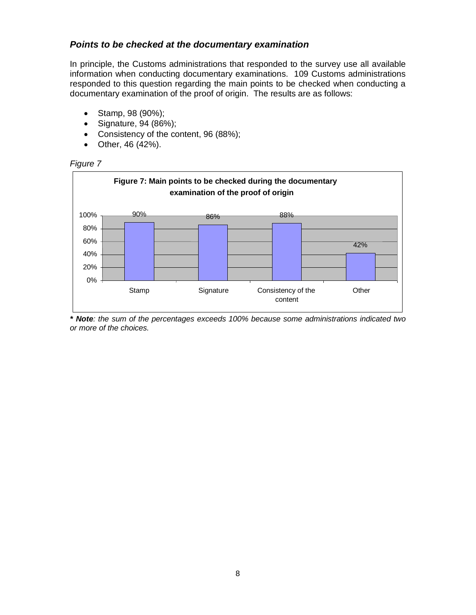## *Points to be checked at the documentary examination*

In principle, the Customs administrations that responded to the survey use all available information when conducting documentary examinations. 109 Customs administrations responded to this question regarding the main points to be checked when conducting a documentary examination of the proof of origin. The results are as follows:

- Stamp, 98 (90%);
- Signature, 94 (86%);
- Consistency of the content, 96 (88%);
- Other, 46 (42%).





*\* Note: the sum of the percentages exceeds 100% because some administrations indicated two or more of the choices.*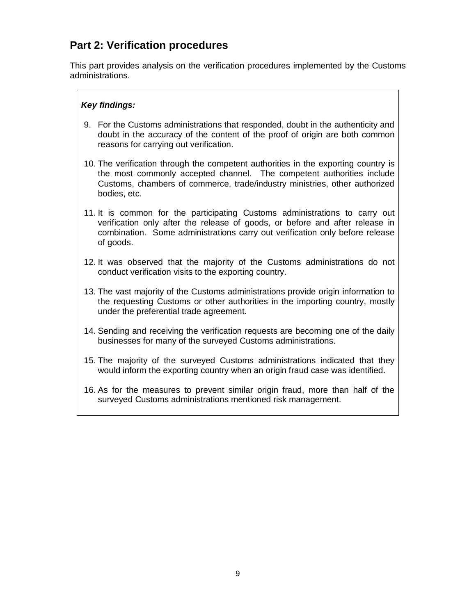# **Part 2: Verification procedures**

This part provides analysis on the verification procedures implemented by the Customs administrations.

## *Key findings:*

- 9. For the Customs administrations that responded, doubt in the authenticity and doubt in the accuracy of the content of the proof of origin are both common reasons for carrying out verification.
- 10. The verification through the competent authorities in the exporting country is the most commonly accepted channel. The competent authorities include Customs, chambers of commerce, trade/industry ministries, other authorized bodies, etc.
- 11. It is common for the participating Customs administrations to carry out verification only after the release of goods, or before and after release in combination. Some administrations carry out verification only before release of goods.
- 12. It was observed that the majority of the Customs administrations do not conduct verification visits to the exporting country.
- 13. The vast majority of the Customs administrations provide origin information to the requesting Customs or other authorities in the importing country, mostly under the preferential trade agreement.
- 14. Sending and receiving the verification requests are becoming one of the daily businesses for many of the surveyed Customs administrations.
- 15. The majority of the surveyed Customs administrations indicated that they would inform the exporting country when an origin fraud case was identified.
- 16. As for the measures to prevent similar origin fraud, more than half of the surveyed Customs administrations mentioned risk management.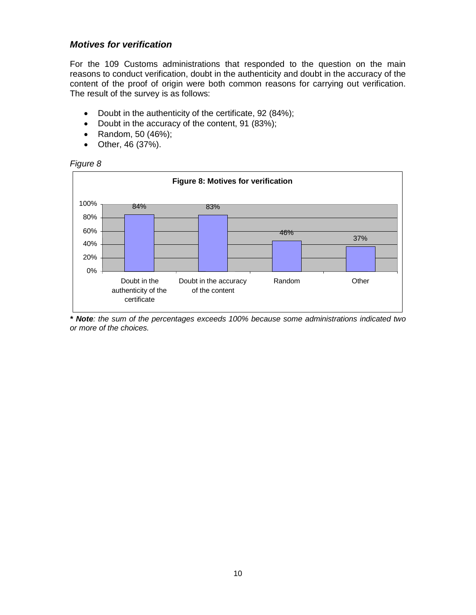### *Motives for verification*

For the 109 Customs administrations that responded to the question on the main reasons to conduct verification, doubt in the authenticity and doubt in the accuracy of the content of the proof of origin were both common reasons for carrying out verification. The result of the survey is as follows:

- Doubt in the authenticity of the certificate, 92 (84%);
- Doubt in the accuracy of the content, 91 (83%);
- Random, 50 (46%);
- Other, 46 (37%).





*\* Note: the sum of the percentages exceeds 100% because some administrations indicated two or more of the choices.*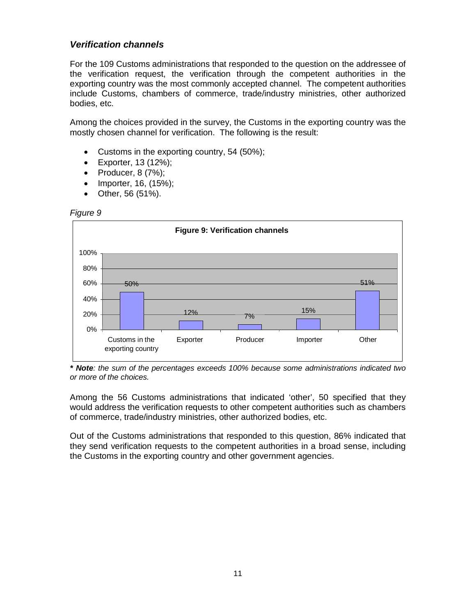## *Verification channels*

For the 109 Customs administrations that responded to the question on the addressee of the verification request, the verification through the competent authorities in the exporting country was the most commonly accepted channel. The competent authorities include Customs, chambers of commerce, trade/industry ministries, other authorized bodies, etc.

Among the choices provided in the survey, the Customs in the exporting country was the mostly chosen channel for verification. The following is the result:

- Customs in the exporting country, 54 (50%);
- Exporter, 13 (12%);
- Producer,  $8(7%)$ ;
- Importer, 16, (15%);
- Other, 56 (51%).

#### *Figure 9*



*\* Note: the sum of the percentages exceeds 100% because some administrations indicated two or more of the choices.*

Among the 56 Customs administrations that indicated 'other', 50 specified that they would address the verification requests to other competent authorities such as chambers of commerce, trade/industry ministries, other authorized bodies, etc.

Out of the Customs administrations that responded to this question, 86% indicated that they send verification requests to the competent authorities in a broad sense, including the Customs in the exporting country and other government agencies.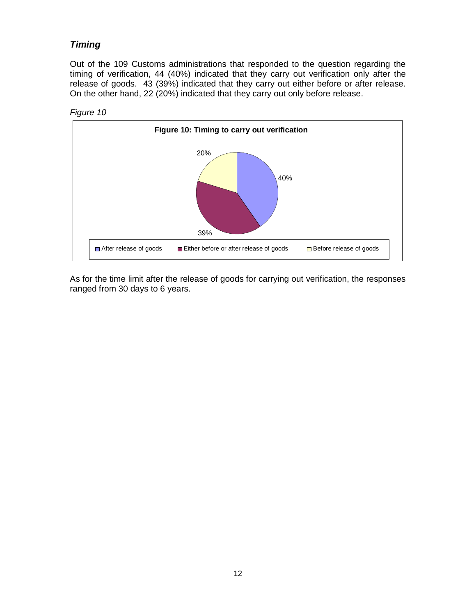# *Timing*

Out of the 109 Customs administrations that responded to the question regarding the timing of verification, 44 (40%) indicated that they carry out verification only after the release of goods. 43 (39%) indicated that they carry out either before or after release. On the other hand, 22 (20%) indicated that they carry out only before release.





As for the time limit after the release of goods for carrying out verification, the responses ranged from 30 days to 6 years.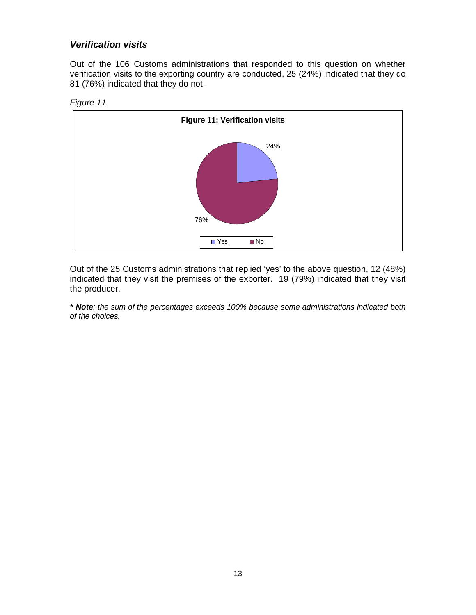## *Verification visits*

Out of the 106 Customs administrations that responded to this question on whether verification visits to the exporting country are conducted, 25 (24%) indicated that they do. 81 (76%) indicated that they do not.





Out of the 25 Customs administrations that replied 'yes' to the above question, 12 (48%) indicated that they visit the premises of the exporter. 19 (79%) indicated that they visit the producer.

*\* Note: the sum of the percentages exceeds 100% because some administrations indicated both of the choices.*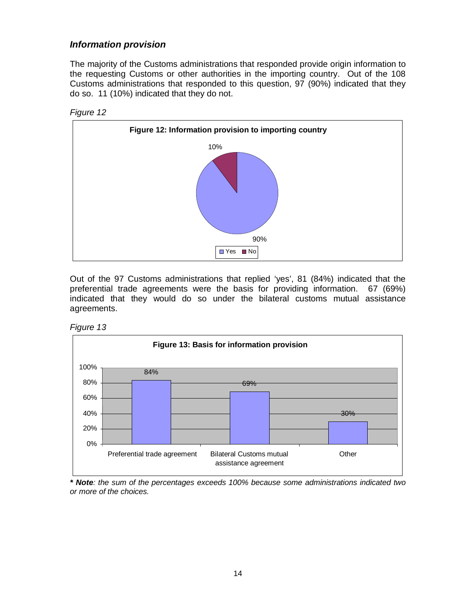## *Information provision*

The majority of the Customs administrations that responded provide origin information to the requesting Customs or other authorities in the importing country. Out of the 108 Customs administrations that responded to this question, 97 (90%) indicated that they do so. 11 (10%) indicated that they do not.





Out of the 97 Customs administrations that replied 'yes', 81 (84%) indicated that the preferential trade agreements were the basis for providing information. 67 (69%) indicated that they would do so under the bilateral customs mutual assistance agreements.





*\* Note: the sum of the percentages exceeds 100% because some administrations indicated two or more of the choices.*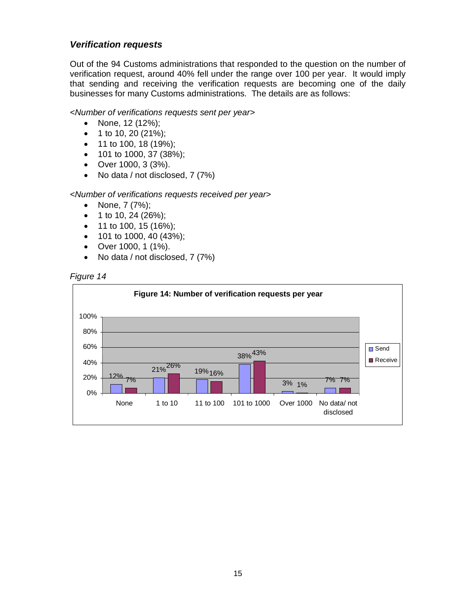## *Verification requests*

Out of the 94 Customs administrations that responded to the question on the number of verification request, around 40% fell under the range over 100 per year. It would imply that sending and receiving the verification requests are becoming one of the daily businesses for many Customs administrations. The details are as follows:

#### *<Number of verifications requests sent per year>*

- None,  $12 (12\%)$ ;
- $\bullet$  1 to 10, 20 (21%);
- 11 to 100, 18 (19%);
- 101 to 1000, 37 (38%);
- Over 1000, 3 (3%).
- No data / not disclosed, 7 (7%)

#### *<Number of verifications requests received per year>*

- None, 7 (7%);
- 1 to 10, 24 (26%);
- 11 to 100, 15 (16%);
- $\bullet$  101 to 1000, 40 (43%);
- Over 1000, 1 (1%).
- No data / not disclosed, 7 (7%)



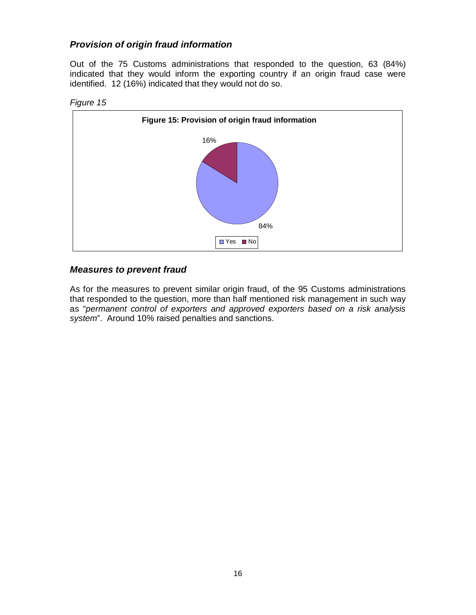# *Provision of origin fraud information*

Out of the 75 Customs administrations that responded to the question, 63 (84%) indicated that they would inform the exporting country if an origin fraud case were identified. 12 (16%) indicated that they would not do so.



#### *Figure 15*

## *Measures to prevent fraud*

As for the measures to prevent similar origin fraud, of the 95 Customs administrations that responded to the question, more than half mentioned risk management in such way as "*permanent control of exporters and approved exporters based on a risk analysis system*". Around 10% raised penalties and sanctions.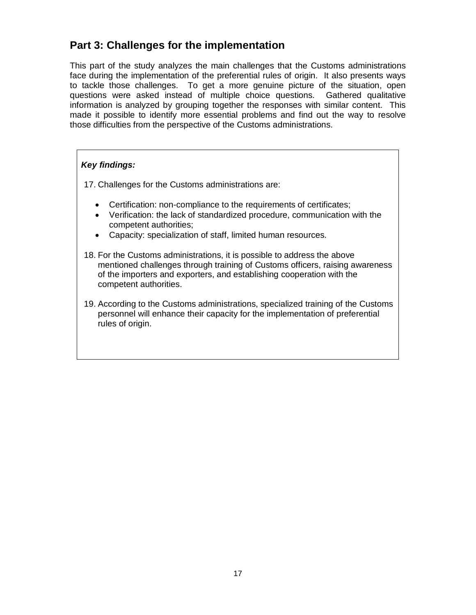# **Part 3: Challenges for the implementation**

This part of the study analyzes the main challenges that the Customs administrations face during the implementation of the preferential rules of origin. It also presents ways to tackle those challenges. To get a more genuine picture of the situation, open questions were asked instead of multiple choice questions. Gathered qualitative information is analyzed by grouping together the responses with similar content. This made it possible to identify more essential problems and find out the way to resolve those difficulties from the perspective of the Customs administrations.

## *Key findings:*

17. Challenges for the Customs administrations are:

- Certification: non-compliance to the requirements of certificates;
- Verification: the lack of standardized procedure, communication with the competent authorities;
- Capacity: specialization of staff, limited human resources.
- 18. For the Customs administrations, it is possible to address the above mentioned challenges through training of Customs officers, raising awareness of the importers and exporters, and establishing cooperation with the competent authorities.
- 19. According to the Customs administrations, specialized training of the Customs personnel will enhance their capacity for the implementation of preferential rules of origin.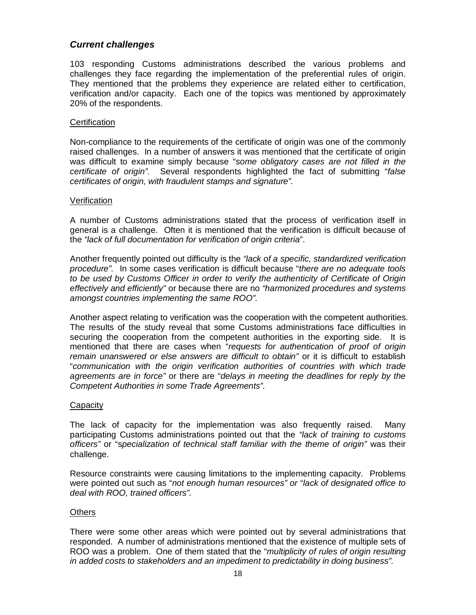### *Current challenges*

103 responding Customs administrations described the various problems and challenges they face regarding the implementation of the preferential rules of origin. They mentioned that the problems they experience are related either to certification, verification and/or capacity. Each one of the topics was mentioned by approximately 20% of the respondents.

#### **Certification**

Non-compliance to the requirements of the certificate of origin was one of the commonly raised challenges. In a number of answers it was mentioned that the certificate of origin was difficult to examine simply because "*some obligatory cases are not filled in the certificate of origin".* Several respondents highlighted the fact of submitting "*false certificates of origin, with fraudulent stamps and signature".*

#### **Verification**

A number of Customs administrations stated that the process of verification itself in general is a challenge. Often it is mentioned that the verification is difficult because of the *"lack of full documentation for verification of origin criteria*".

Another frequently pointed out difficulty is the *"lack of a specific, standardized verification procedure".* In some cases verification is difficult because "*there are no adequate tools to be used by Customs Officer in order to verify the authenticity of Certificate of Origin effectively and efficiently"* or because there are no *"harmonized procedures and systems amongst countries implementing the same ROO".*

Another aspect relating to verification was the cooperation with the competent authorities. The results of the study reveal that some Customs administrations face difficulties in securing the cooperation from the competent authorities in the exporting side. It is mentioned that there are cases when "*requests for authentication of proof of origin*  remain unanswered or else answers are difficult to obtain" or it is difficult to establish "*communication with the origin verification authorities of countries with which trade agreements are in force"* or there are "*delays in meeting the deadlines for reply by the Competent Authorities in some Trade Agreements".*

#### **Capacity**

The lack of capacity for the implementation was also frequently raised. Many participating Customs administrations pointed out that the *"lack of training to customs officers"* or "s*pecialization of technical staff familiar with the theme of origin"* was their challenge.

Resource constraints were causing limitations to the implementing capacity. Problems were pointed out such as "*not enough human resources" or* "*lack of designated office to deal with ROO, trained officers".*

#### **Others**

There were some other areas which were pointed out by several administrations that responded. A number of administrations mentioned that the existence of multiple sets of ROO was a problem. One of them stated that the "*multiplicity of rules of origin resulting in added costs to stakeholders and an impediment to predictability in doing business".*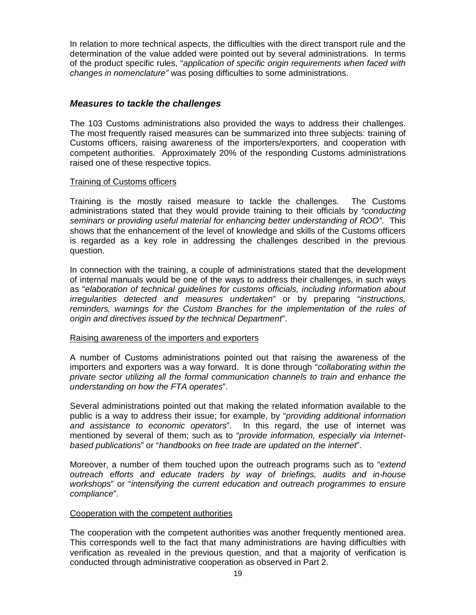In relation to more technical aspects, the difficulties with the direct transport rule and the determination of the value added were pointed out by several administrations. In terms of the product specific rules, "*application of specific origin requirements when faced with changes in nomenclature"* was posing difficulties to some administrations.

## *Measures to tackle the challenges*

The 103 Customs administrations also provided the ways to address their challenges. The most frequently raised measures can be summarized into three subjects: training of Customs officers, raising awareness of the importers/exporters, and cooperation with competent authorities. Approximately 20% of the responding Customs administrations raised one of these respective topics.

#### Training of Customs officers

Training is the mostly raised measure to tackle the challenges. The Customs administrations stated that they would provide training to their officials by "*conducting seminars or providing useful material for enhancing better understanding of ROO"*. This shows that the enhancement of the level of knowledge and skills of the Customs officers is regarded as a key role in addressing the challenges described in the previous question.

In connection with the training, a couple of administrations stated that the development of internal manuals would be one of the ways to address their challenges, in such ways as "*elaboration of technical guidelines for customs officials, including information about irregularities detected and measures undertaken*" or by preparing "*instructions, reminders, warnings for the Custom Branches for the implementation of the rules of origin and directives issued by the technical Department*".

#### Raising awareness of the importers and exporters

A number of Customs administrations pointed out that raising the awareness of the importers and exporters was a way forward. It is done through "*collaborating within the private sector utilizing all the formal communication channels to train and enhance the understanding on how the FTA operates*".

Several administrations pointed out that making the related information available to the public is a way to address their issue; for example, by "*providing additional information and assistance to economic operators*". In this regard, the use of internet was mentioned by several of them; such as to "*provide information, especially via Internetbased publications*" or "*handbooks on free trade are updated on the internet*".

Moreover, a number of them touched upon the outreach programs such as to "*extend outreach efforts and educate traders by way of briefings, audits and in-house workshops*" or "*intensifying the current education and outreach programmes to ensure compliance*".

#### Cooperation with the competent authorities

The cooperation with the competent authorities was another frequently mentioned area. This corresponds well to the fact that many administrations are having difficulties with verification as revealed in the previous question, and that a majority of verification is conducted through administrative cooperation as observed in Part 2.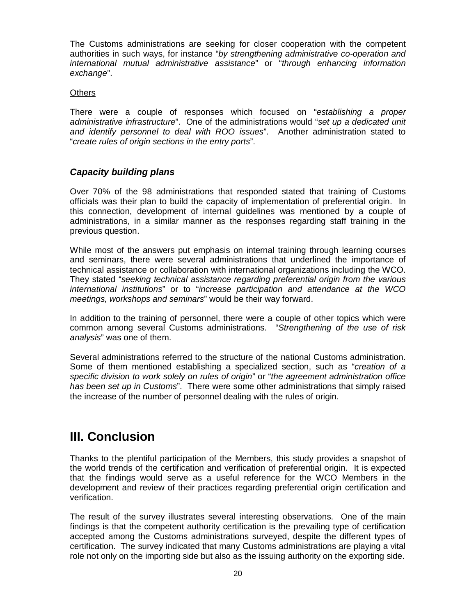The Customs administrations are seeking for closer cooperation with the competent authorities in such ways, for instance "*by strengthening administrative co-operation and international mutual administrative assistance*" or "*through enhancing information exchange*".

#### **Others**

There were a couple of responses which focused on "*establishing a proper administrative infrastructure*". One of the administrations would "*set up a dedicated unit and identify personnel to deal with ROO issues*". Another administration stated to "*create rules of origin sections in the entry ports*".

## *Capacity building plans*

Over 70% of the 98 administrations that responded stated that training of Customs officials was their plan to build the capacity of implementation of preferential origin. In this connection, development of internal guidelines was mentioned by a couple of administrations, in a similar manner as the responses regarding staff training in the previous question.

While most of the answers put emphasis on internal training through learning courses and seminars, there were several administrations that underlined the importance of technical assistance or collaboration with international organizations including the WCO. They stated "*seeking technical assistance regarding preferential origin from the various international institutions*" or to "*increase participation and attendance at the WCO meetings, workshops and seminars*" would be their way forward.

In addition to the training of personnel, there were a couple of other topics which were common among several Customs administrations. "*Strengthening of the use of risk analysis*" was one of them.

Several administrations referred to the structure of the national Customs administration. Some of them mentioned establishing a specialized section, such as "*creation of a specific division to work solely on rules of origin*" or "*the agreement administration office has been set up in Customs*". There were some other administrations that simply raised the increase of the number of personnel dealing with the rules of origin.

# **III. Conclusion**

Thanks to the plentiful participation of the Members, this study provides a snapshot of the world trends of the certification and verification of preferential origin. It is expected that the findings would serve as a useful reference for the WCO Members in the development and review of their practices regarding preferential origin certification and verification.

The result of the survey illustrates several interesting observations. One of the main findings is that the competent authority certification is the prevailing type of certification accepted among the Customs administrations surveyed, despite the different types of certification. The survey indicated that many Customs administrations are playing a vital role not only on the importing side but also as the issuing authority on the exporting side.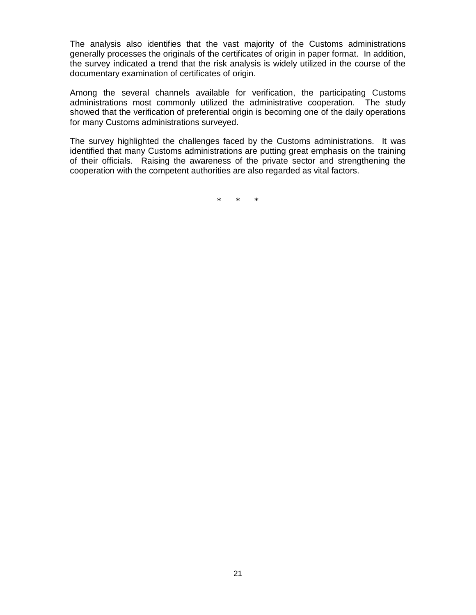The analysis also identifies that the vast majority of the Customs administrations generally processes the originals of the certificates of origin in paper format. In addition, the survey indicated a trend that the risk analysis is widely utilized in the course of the documentary examination of certificates of origin.

Among the several channels available for verification, the participating Customs administrations most commonly utilized the administrative cooperation. The study showed that the verification of preferential origin is becoming one of the daily operations for many Customs administrations surveyed.

The survey highlighted the challenges faced by the Customs administrations. It was identified that many Customs administrations are putting great emphasis on the training of their officials. Raising the awareness of the private sector and strengthening the cooperation with the competent authorities are also regarded as vital factors.

\* \* \*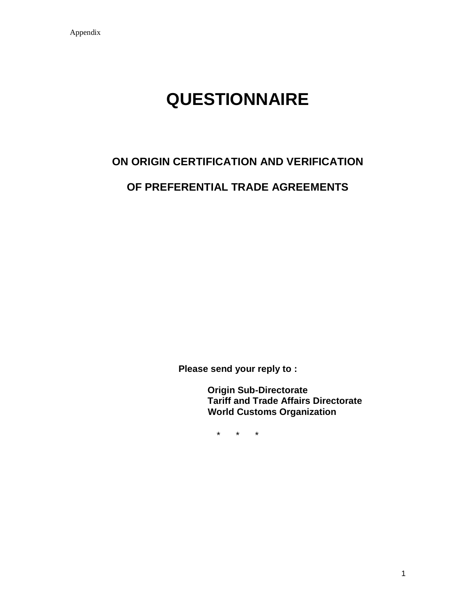# **QUESTIONNAIRE**

# **ON ORIGIN CERTIFICATION AND VERIFICATION OF PREFERENTIAL TRADE AGREEMENTS**

**Please send your reply to :**

**Origin Sub-Directorate Tariff and Trade Affairs Directorate World Customs Organization**

\* \* \*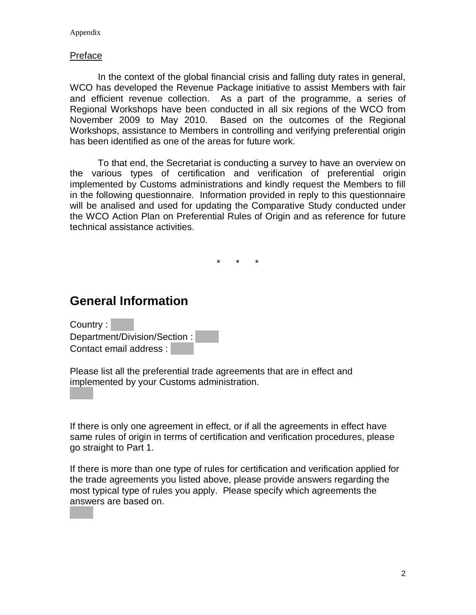#### Appendix

#### Preface

In the context of the global financial crisis and falling duty rates in general, WCO has developed the Revenue Package initiative to assist Members with fair and efficient revenue collection. As a part of the programme, a series of Regional Workshops have been conducted in all six regions of the WCO from November 2009 to May 2010. Based on the outcomes of the Regional Workshops, assistance to Members in controlling and verifying preferential origin has been identified as one of the areas for future work.

To that end, the Secretariat is conducting a survey to have an overview on the various types of certification and verification of preferential origin implemented by Customs administrations and kindly request the Members to fill in the following questionnaire. Information provided in reply to this questionnaire will be analised and used for updating the Comparative Study conducted under the WCO Action Plan on Preferential Rules of Origin and as reference for future technical assistance activities.

\* \* \*

# **General Information**

Country : Department/Division/Section : Contact email address :

Please list all the preferential trade agreements that are in effect and implemented by your Customs administration.

If there is only one agreement in effect, or if all the agreements in effect have same rules of origin in terms of certification and verification procedures, please go straight to Part 1.

If there is more than one type of rules for certification and verification applied for the trade agreements you listed above, please provide answers regarding the most typical type of rules you apply. Please specify which agreements the answers are based on.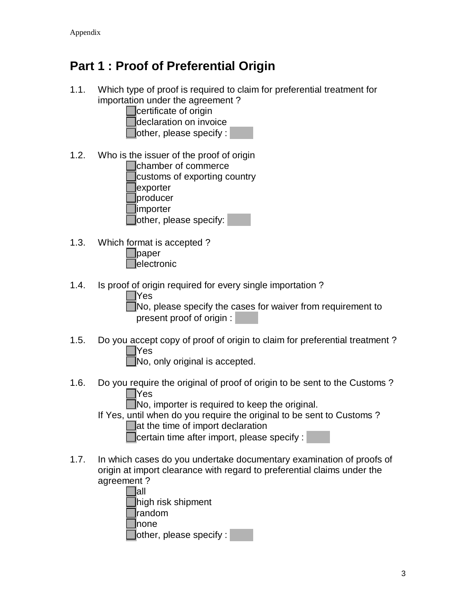# **Part 1 : Proof of Preferential Origin**

1.1. Which type of proof is required to claim for preferential treatment for importation under the agreement ?

certificate of origin

- declaration on invoice
- other, please specify :
- 1.2. Who is the issuer of the proof of origin

chamber of commerce

customs of exporting country exporter producer

importer

other, please specify:

- 1.3. Which format is accepted ? paper **electronic**
- 1.4. Is proof of origin required for every single importation ?

| ×<br>۰.<br>۰.<br>v |
|--------------------|
|                    |

No, please specify the cases for waiver from requirement to present proof of origin :

1.5. Do you accept copy of proof of origin to claim for preferential treatment ? Yes

No, only original is accepted.

1.6. Do you require the original of proof of origin to be sent to the Customs ? Yes

No, importer is required to keep the original.

If Yes, until when do you require the original to be sent to Customs ?

**at the time of import declaration** 

certain time after import, please specify :

1.7. In which cases do you undertake documentary examination of proofs of origin at import clearance with regard to preferential claims under the agreement ?

| lall                   |
|------------------------|
| high risk shipment     |
| <b>random</b>          |
| <b>I</b> none          |
| other, please specify: |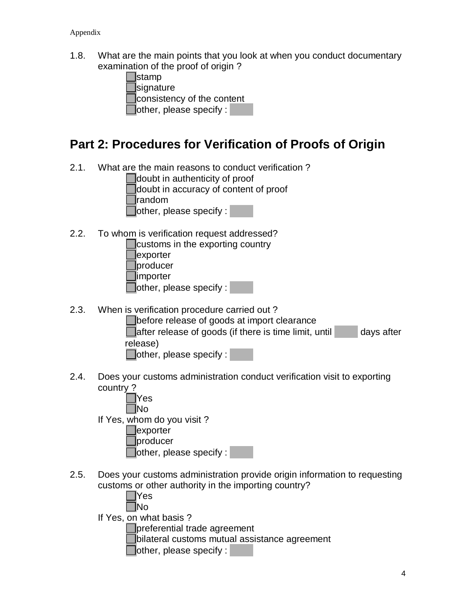1.8. What are the main points that you look at when you conduct documentary examination of the proof of origin?

| $\Box$ stamp                   |  |
|--------------------------------|--|
| $\Box$ signature               |  |
| consistency of the content     |  |
| $\Box$ other, please specify : |  |

# **Part 2: Procedures for Verification of Proofs of Origin**

2.1. What are the main reasons to conduct verification ?

doubt in authenticity of proof

doubt in accuracy of content of proof

random

Tother, please specify :

2.2. To whom is verification request addressed?

| $\Box$ customs in the exporting country |
|-----------------------------------------|
| $\exists$ exporter                      |
| producer                                |
| $\Box$ importer                         |
| $\Box$ other, please specify :          |

2.3. When is verification procedure carried out ?

**before release of goods at import clearance**  $\Box$  after release of goods (if there is time limit, until  $\Box$  days after release)  $\Box$ other, please specify :

2.4. Does your customs administration conduct verification visit to exporting country ?

| Yes                        |  |
|----------------------------|--|
| No                         |  |
| If Yes, whom do you visit? |  |
| exporter                   |  |
| producer                   |  |
| other, please specify:     |  |

2.5. Does your customs administration provide origin information to requesting customs or other authority in the importing country?

| l IYes                 |  |
|------------------------|--|
| L INo                  |  |
| If Yes, on what basis? |  |

preferential trade agreement

bilateral customs mutual assistance agreement

 $\Box$ other, please specify :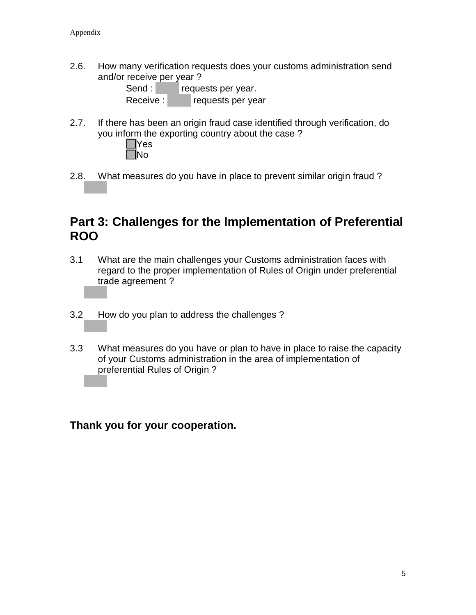2.6. How many verification requests does your customs administration send and/or receive per year ?

| Send:    | requests per year. |
|----------|--------------------|
| Receive: | requests per year  |

2.7. If there has been an origin fraud case identified through verification, do you inform the exporting country about the case ?



2.8. What measures do you have in place to prevent similar origin fraud ?

# **Part 3: Challenges for the Implementation of Preferential ROO**

- 3.1 What are the main challenges your Customs administration faces with regard to the proper implementation of Rules of Origin under preferential trade agreement ?
- 3.2 How do you plan to address the challenges ?
- 3.3 What measures do you have or plan to have in place to raise the capacity of your Customs administration in the area of implementation of preferential Rules of Origin ?

**Thank you for your cooperation.**